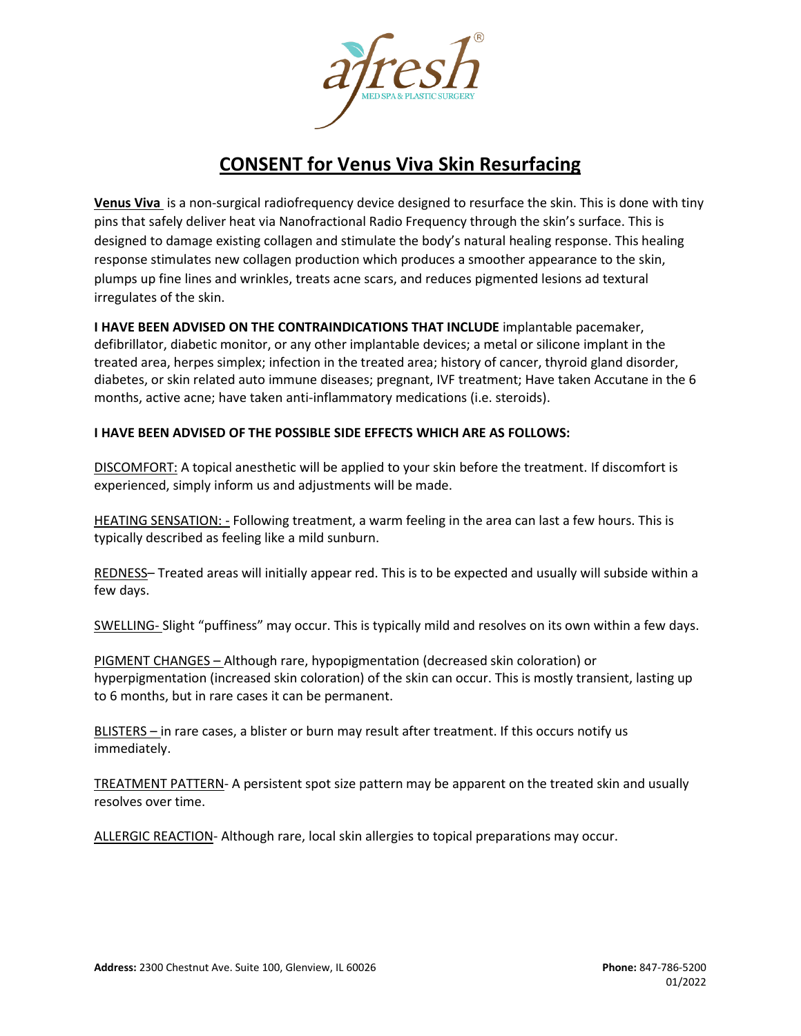

## **CONSENT for Venus Viva Skin Resurfacing**

**Venus Viva** is a non-surgical radiofrequency device designed to resurface the skin. This is done with tiny pins that safely deliver heat via Nanofractional Radio Frequency through the skin's surface. This is designed to damage existing collagen and stimulate the body's natural healing response. This healing response stimulates new collagen production which produces a smoother appearance to the skin, plumps up fine lines and wrinkles, treats acne scars, and reduces pigmented lesions ad textural irregulates of the skin.

**I HAVE BEEN ADVISED ON THE CONTRAINDICATIONS THAT INCLUDE** implantable pacemaker, defibrillator, diabetic monitor, or any other implantable devices; a metal or silicone implant in the treated area, herpes simplex; infection in the treated area; history of cancer, thyroid gland disorder, diabetes, or skin related auto immune diseases; pregnant, IVF treatment; Have taken Accutane in the 6 months, active acne; have taken anti-inflammatory medications (i.e. steroids).

## **I HAVE BEEN ADVISED OF THE POSSIBLE SIDE EFFECTS WHICH ARE AS FOLLOWS:**

DISCOMFORT: A topical anesthetic will be applied to your skin before the treatment. If discomfort is experienced, simply inform us and adjustments will be made.

HEATING SENSATION: - Following treatment, a warm feeling in the area can last a few hours. This is typically described as feeling like a mild sunburn.

REDNESS– Treated areas will initially appear red. This is to be expected and usually will subside within a few days.

SWELLING- Slight "puffiness" may occur. This is typically mild and resolves on its own within a few days.

PIGMENT CHANGES – Although rare, hypopigmentation (decreased skin coloration) or hyperpigmentation (increased skin coloration) of the skin can occur. This is mostly transient, lasting up to 6 months, but in rare cases it can be permanent.

BLISTERS – in rare cases, a blister or burn may result after treatment. If this occurs notify us immediately.

TREATMENT PATTERN- A persistent spot size pattern may be apparent on the treated skin and usually resolves over time.

ALLERGIC REACTION- Although rare, local skin allergies to topical preparations may occur.